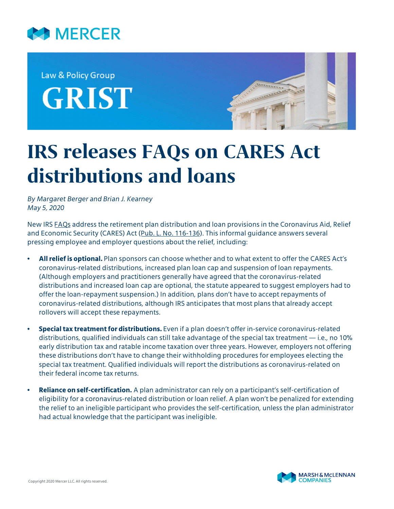

Law & Policy Group **GRIST** 



# **IRS releases FAQs on CARES Act distributions and loans**

*By Margaret Berger and Brian J. Kearney May 5, 2020*

New IRS [FAQs](https://www.irs.gov/newsroom/coronavirus-related-relief-for-retirement-plans-and-iras-questions-and-answers) address the retirement plan distribution and loan provisions in the Coronavirus Aid, Relief and Economic Security (CARES) Act ([Pub. L. No. 116-136\)](https://www.congress.gov/116/bills/hr748/BILLS-116hr748enr.pdf). This informal guidance answers several pressing employee and employer questions about the relief, including:

- **All relief is optional.** Plan sponsors can choose whether and to what extent to offer the CARES Act's coronavirus-related distributions, increased plan loan cap and suspension of loan repayments. (Although employers and practitioners generally have agreed that the coronavirus-related distributions and increased loan cap are optional, the statute appeared to suggest employers had to offer the loan-repayment suspension.) In addition, plans don't have to accept repayments of coronavirus-related distributions, although IRS anticipates that most plans that already accept rollovers will accept these repayments.
- **Special tax treatment for distributions.** Even if a plan doesn't offer in-service coronavirus-related distributions, qualified individuals can still take advantage of the special tax treatment — i.e., no 10% early distribution tax and ratable income taxation over three years. However, employers not offering these distributions don't have to change their withholding procedures for employees electing the special tax treatment. Qualified individuals will report the distributions as coronavirus-related on their federal income tax returns.
- **Reliance on self-certification.** A plan administrator can rely on a participant's self-certification of eligibility for a coronavirus-related distribution or loan relief. A plan won't be penalized for extending the relief to an ineligible participant who provides the self-certification, unless the plan administrator had actual knowledge that the participant was ineligible.